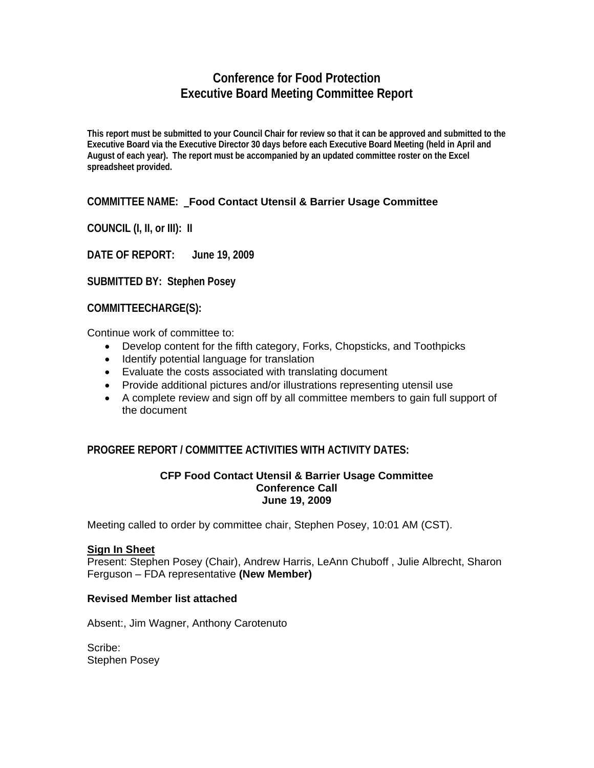# **Conference for Food Protection Executive Board Meeting Committee Report**

**This report must be submitted to your Council Chair for review so that it can be approved and submitted to the Executive Board via the Executive Director 30 days before each Executive Board Meeting (held in April and August of each year). The report must be accompanied by an updated committee roster on the Excel spreadsheet provided.** 

# **COMMITTEE NAME: Food Contact Utensil & Barrier Usage Committee**

**COUNCIL (I, II, or III): II** 

**DATE OF REPORT: June 19, 2009**

**SUBMITTED BY: Stephen Posey** 

**COMMITTEECHARGE(S):** 

Continue work of committee to:

- Develop content for the fifth category, Forks, Chopsticks, and Toothpicks
- Identify potential language for translation
- Evaluate the costs associated with translating document
- Provide additional pictures and/or illustrations representing utensil use
- A complete review and sign off by all committee members to gain full support of the document

# **PROGREE REPORT / COMMITTEE ACTIVITIES WITH ACTIVITY DATES:**

#### **CFP Food Contact Utensil & Barrier Usage Committee Conference Call June 19, 2009**

Meeting called to order by committee chair, Stephen Posey, 10:01 AM (CST).

#### **Sign In Sheet**

Present: Stephen Posey (Chair), Andrew Harris, LeAnn Chuboff , Julie Albrecht, Sharon Ferguson – FDA representative **(New Member)** 

## **Revised Member list attached**

Absent:, Jim Wagner, Anthony Carotenuto

Scribe: Stephen Posey